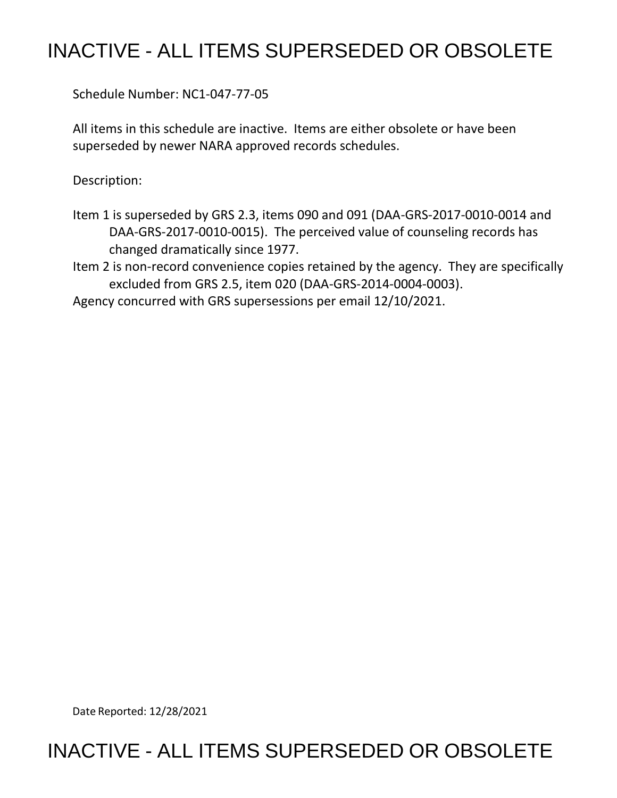## INACTIVE - ALL ITEMS SUPERSEDED OR OBSOLETE

Schedule Number: NC1-047-77-05

 All items in this schedule are inactive. Items are either obsolete or have been superseded by newer NARA approved records schedules.

Description:

- Item 1 is superseded by GRS 2.3, items 090 and 091 (DAA-GRS-2017-0010-0014 and DAA-GRS-2017-0010-0015). The perceived value of counseling records has changed dramatically since 1977.
- Item 2 is non-record convenience copies retained by the agency. They are specifically excluded from GRS 2.5, item 020 (DAA-GRS-2014-0004-0003).

Agency concurred with GRS supersessions per email 12/10/2021.

Date Reported: 12/28/2021

## INACTIVE - ALL ITEMS SUPERSEDED OR OBSOLETE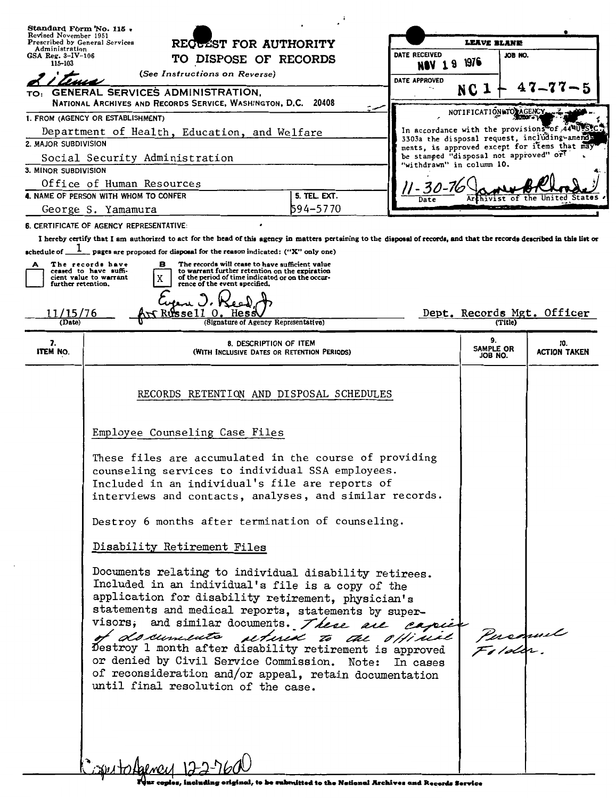| Revised November 1951                                                                                 | Standard Form 'No. 115.<br>Prescribed by General Services<br>RECULET FOR AUTHORITY                                                                                                                                                                                                                                                                                                                                                                                                                                                                                                                                                                                                                                                                                                                                                                                                                                                                                 |                                                                       |                                     | <b>LEAVE BLANE</b>                                                                             |                                               |  |
|-------------------------------------------------------------------------------------------------------|--------------------------------------------------------------------------------------------------------------------------------------------------------------------------------------------------------------------------------------------------------------------------------------------------------------------------------------------------------------------------------------------------------------------------------------------------------------------------------------------------------------------------------------------------------------------------------------------------------------------------------------------------------------------------------------------------------------------------------------------------------------------------------------------------------------------------------------------------------------------------------------------------------------------------------------------------------------------|-----------------------------------------------------------------------|-------------------------------------|------------------------------------------------------------------------------------------------|-----------------------------------------------|--|
|                                                                                                       | Administration<br>$GSA$ Reg. $3 - IV - 106$<br>TO DISPOSE OF RECORDS<br>115-103                                                                                                                                                                                                                                                                                                                                                                                                                                                                                                                                                                                                                                                                                                                                                                                                                                                                                    |                                                                       | DATE RECEIVED                       | JOB NO.                                                                                        |                                               |  |
|                                                                                                       | (See Instructions on Reverse)                                                                                                                                                                                                                                                                                                                                                                                                                                                                                                                                                                                                                                                                                                                                                                                                                                                                                                                                      |                                                                       | <b>NBV 19 1976</b><br>DATE APPROVED |                                                                                                |                                               |  |
| TO: GENERAL SERVICES ADMINISTRATION,<br>NATIONAL ARCHIVES AND RECORDS SERVICE, WASHINGTON, D.C. 20408 |                                                                                                                                                                                                                                                                                                                                                                                                                                                                                                                                                                                                                                                                                                                                                                                                                                                                                                                                                                    |                                                                       | NC 1                                | $47 - 77 - 5$                                                                                  |                                               |  |
| 1. FROM (AGENCY OR ESTABLISHMENT)                                                                     |                                                                                                                                                                                                                                                                                                                                                                                                                                                                                                                                                                                                                                                                                                                                                                                                                                                                                                                                                                    |                                                                       | NOTIFICATION NTO AGENCY             |                                                                                                |                                               |  |
| Department of Health, Education, and Welfare                                                          |                                                                                                                                                                                                                                                                                                                                                                                                                                                                                                                                                                                                                                                                                                                                                                                                                                                                                                                                                                    |                                                                       |                                     | In accordance with the provisions of 44 MU SYC<br>3303a the disposal request, including-amend- |                                               |  |
| 2. MAJOR SUBDIVISION                                                                                  |                                                                                                                                                                                                                                                                                                                                                                                                                                                                                                                                                                                                                                                                                                                                                                                                                                                                                                                                                                    |                                                                       |                                     | be stamped "disposal not approved" or?                                                         | ments, is approved except for items that may" |  |
| Social Security Administration<br>3. MINOR SUBDIVISION                                                |                                                                                                                                                                                                                                                                                                                                                                                                                                                                                                                                                                                                                                                                                                                                                                                                                                                                                                                                                                    |                                                                       | "withdrawn" in column 10.           |                                                                                                |                                               |  |
| Office of Human Resources                                                                             |                                                                                                                                                                                                                                                                                                                                                                                                                                                                                                                                                                                                                                                                                                                                                                                                                                                                                                                                                                    |                                                                       |                                     |                                                                                                |                                               |  |
| 4. NAME OF PERSON WITH WHOM TO CONFER<br>5. TEL. EXT.                                                 |                                                                                                                                                                                                                                                                                                                                                                                                                                                                                                                                                                                                                                                                                                                                                                                                                                                                                                                                                                    |                                                                       | 11 - 30 -<br>Date                   | thivist                                                                                        |                                               |  |
| George S. Yamamura                                                                                    |                                                                                                                                                                                                                                                                                                                                                                                                                                                                                                                                                                                                                                                                                                                                                                                                                                                                                                                                                                    | 594-5770                                                              |                                     |                                                                                                |                                               |  |
|                                                                                                       | <b>6. CERTIFICATE OF AGENCY REPRESENTATIVE:</b>                                                                                                                                                                                                                                                                                                                                                                                                                                                                                                                                                                                                                                                                                                                                                                                                                                                                                                                    |                                                                       |                                     |                                                                                                |                                               |  |
|                                                                                                       | I hereby certify that I am authorized to act for the head of this agency in matters pertaining to the disposal of records, and that the records described in this list or                                                                                                                                                                                                                                                                                                                                                                                                                                                                                                                                                                                                                                                                                                                                                                                          |                                                                       |                                     |                                                                                                |                                               |  |
| schedule of _                                                                                         | _pages are proposed for disposal for the reason indicated: ("X" only one)<br>The records have                                                                                                                                                                                                                                                                                                                                                                                                                                                                                                                                                                                                                                                                                                                                                                                                                                                                      |                                                                       |                                     |                                                                                                |                                               |  |
| A                                                                                                     | The records will cease to have sufficient value<br>в<br>ceased to have suffi-<br>to warrant further retention on the expiration<br>of the period of time indicated or on the occur-<br>cient value to warrant                                                                                                                                                                                                                                                                                                                                                                                                                                                                                                                                                                                                                                                                                                                                                      |                                                                       |                                     |                                                                                                |                                               |  |
| further retention.                                                                                    | rence of the event specified.                                                                                                                                                                                                                                                                                                                                                                                                                                                                                                                                                                                                                                                                                                                                                                                                                                                                                                                                      |                                                                       |                                     |                                                                                                |                                               |  |
|                                                                                                       |                                                                                                                                                                                                                                                                                                                                                                                                                                                                                                                                                                                                                                                                                                                                                                                                                                                                                                                                                                    |                                                                       |                                     |                                                                                                |                                               |  |
| 11/15/76<br>(Date)                                                                                    | Russell O                                                                                                                                                                                                                                                                                                                                                                                                                                                                                                                                                                                                                                                                                                                                                                                                                                                                                                                                                          | (Signature of Agency Representative)                                  |                                     | (Title)                                                                                        | Dept. Records Mgt. Officer                    |  |
| 7.<br><b>ITEM NO.</b>                                                                                 |                                                                                                                                                                                                                                                                                                                                                                                                                                                                                                                                                                                                                                                                                                                                                                                                                                                                                                                                                                    | 8. DESCRIPTION OF ITEM<br>(WITH INCLUSIVE DATES OR RETENTION PERIODS) |                                     | 9.<br>SAMPLE OR<br>JOB NO.                                                                     | 10.<br><b>ACTION TAKEN</b>                    |  |
|                                                                                                       | RECORDS RETENTION AND DISPOSAL SCHEDULES<br>Employee Counseling Case Files<br>These files are accumulated in the course of providing<br>counseling services to individual SSA employees.<br>Included in an individual's file are reports of<br>interviews and contacts, analyses, and similar records.<br>Destroy 6 months after termination of counseling.<br>Disability Retirement Files<br>Documents relating to individual disability retirees.<br>Included in an individual's file is a copy of the<br>application for disability retirement, physician's<br>statements and medical reports, statements by super-<br>visors, and similar documents. There are capies<br>of documents setund to the official<br>Destroy 1 month after disability retirement is approved<br>or denied by Civil Service Commission. Note: In cases<br>of reconsideration and/or appeal, retain documentation<br>until final resolution of the case.<br>$C$ see to hence $122260$ |                                                                       |                                     |                                                                                                |                                               |  |